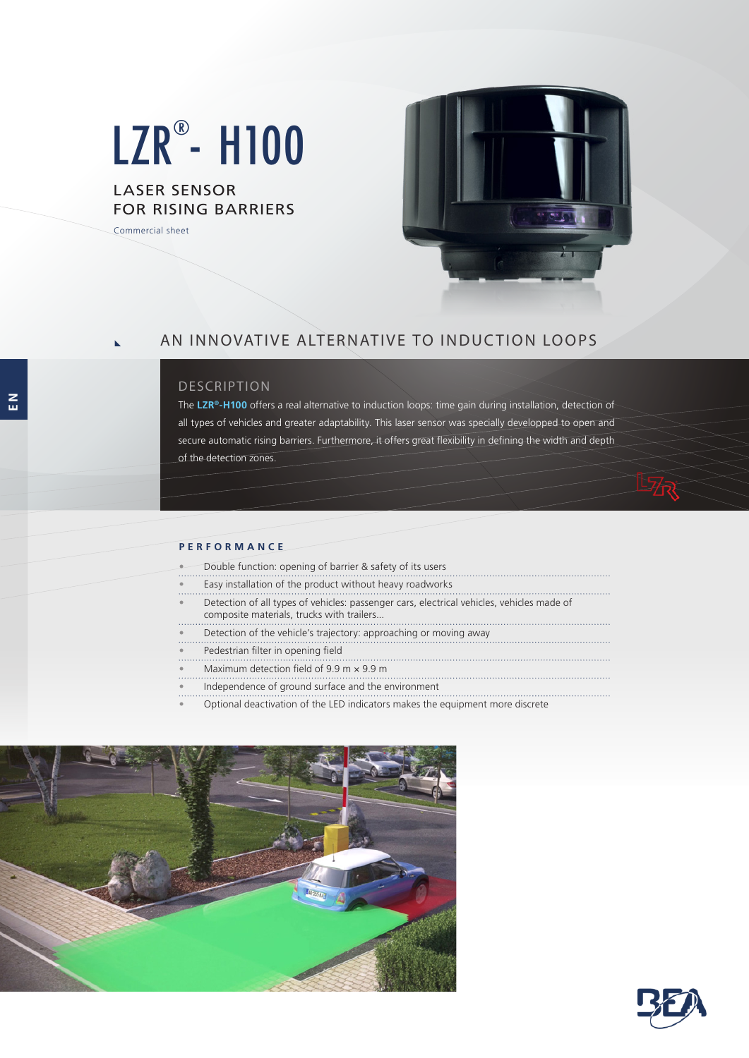# LZR®- H100

# LASER SENSOR FOR RISING BARRIERS

Commercial sheet



# AN INNOVATIVE ALTERNATIVE TO INDUCTION LOOPS

## **DESCRIPTION**

The **LZR®-H100** offers a real alternative to induction loops: time gain during installation, detection of all types of vehicles and greater adaptability. This laser sensor was specially developped to open and secure automatic rising barriers. Furthermore, it offers great flexibility in defining the width and depth of the detection zones.

#### **PERFORMANCE**

- Double function: opening of barrier & safety of its users
- Easy installation of the product without heavy roadworks
- Detection of all types of vehicles: passenger cars, electrical vehicles, vehicles made of composite materials, trucks with trailers...
- Detection of the vehicle's trajectory: approaching or moving away
- Pedestrian filter in opening field
- Maximum detection field of 9.9 m × 9.9 m
- Independence of ground surface and the environment
- Optional deactivation of the LED indicators makes the equipment more discrete